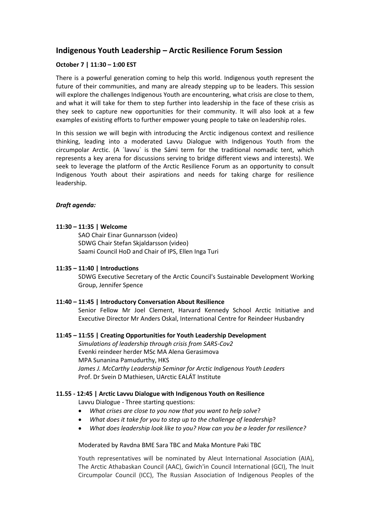# **Indigenous Youth Leadership – Arctic Resilience Forum Session**

## **October 7 | 11:30 – 1:00 EST**

There is a powerful generation coming to help this world. Indigenous youth represent the future of their communities, and many are already stepping up to be leaders. This session will explore the challenges Indigenous Youth are encountering, what crisis are close to them, and what it will take for them to step further into leadership in the face of these crisis as they seek to capture new opportunities for their community. It will also look at a few examples of existing efforts to further empower young people to take on leadership roles.

In this session we will begin with introducing the Arctic indigenous context and resilience thinking, leading into a moderated Lavvu Dialogue with Indigenous Youth from the circumpolar Arctic. (A ´lavvu´ is the Sámi term for the traditional nomadic tent, which represents a key arena for discussions serving to bridge different views and interests). We seek to leverage the platform of the Arctic Resilience Forum as an opportunity to consult Indigenous Youth about their aspirations and needs for taking charge for resilience leadership.

## *Draft agenda:*

#### **11:30 – 11:35 | Welcome**

SAO Chair Einar Gunnarsson (video) SDWG Chair Stefan Skjaldarsson (video) Saami Council HoD and Chair of IPS, Ellen Inga Turi

#### **11:35 – 11:40 | Introductions**

SDWG Executive Secretary of the Arctic Council's Sustainable Development Working Group, Jennifer Spence

#### **11:40 – 11:45 | Introductory Conversation About Resilience**

Senior Fellow Mr Joel Clement, Harvard Kennedy School Arctic Initiative and Executive Director Mr Anders Oskal, International Centre for Reindeer Husbandry

#### **11:45 – 11:55 | Creating Opportunities for Youth Leadership Development**

*Simulations of leadership through crisis from SARS-Cov2*  Evenki reindeer herder MSc MA Alena Gerasimova MPA Sunanina Pamudurthy, HKS *James J. McCarthy Leadership Seminar for Arctic Indigenous Youth Leaders*  Prof. Dr Svein D Mathiesen, UArctic EALÁT Institute

## **11.55 - 12:45 | Arctic Lavvu Dialogue with Indigenous Youth on Resilience** Lavvu Dialogue - Three starting questions:

- *What crises are close to you now that you want to help solve*?
- *What does it take for you to step up to the challenge of leadership*?
- *What does leadership look like to you? How can you be a leader for resilience?*

Moderated by Ravdna BME Sara TBC and Maka Monture Paki TBC

Youth representatives will be nominated by Aleut International Association (AIA), The Arctic Athabaskan Council (AAC), Gwich'in Council International (GCI), The Inuit Circumpolar Council (ICC), The Russian Association of Indigenous Peoples of the